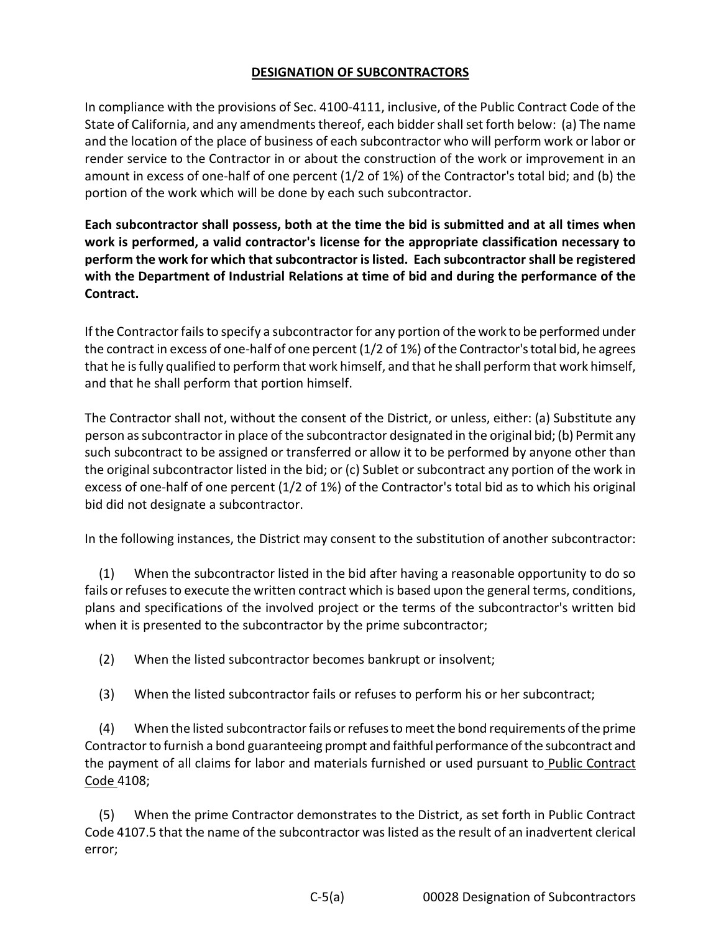## **DESIGNATION OF SUBCONTRACTORS**

In compliance with the provisions of Sec. 4100-4111, inclusive, of the Public Contract Code of the State of California, and any amendments thereof, each bidder shall set forth below: (a) The name and the location of the place of business of each subcontractor who will perform work or labor or render service to the Contractor in or about the construction of the work or improvement in an amount in excess of one-half of one percent (1/2 of 1%) of the Contractor's total bid; and (b) the portion of the work which will be done by each such subcontractor.

**Each subcontractor shall possess, both at the time the bid is submitted and at all times when work is performed, a valid contractor's license for the appropriate classification necessary to perform the work for which that subcontractor is listed. Each subcontractor shall be registered with the Department of Industrial Relations at time of bid and during the performance of the Contract.** 

If the Contractor fails to specify a subcontractor for any portion of the work to be performed under the contract in excess of one-half of one percent (1/2 of 1%) of the Contractor's total bid, he agrees that he is fully qualified to perform that work himself, and that he shall perform that work himself, and that he shall perform that portion himself.

The Contractor shall not, without the consent of the District, or unless, either: (a) Substitute any person as subcontractor in place of the subcontractor designated in the original bid; (b) Permit any such subcontract to be assigned or transferred or allow it to be performed by anyone other than the original subcontractor listed in the bid; or (c) Sublet or subcontract any portion of the work in excess of one-half of one percent (1/2 of 1%) of the Contractor's total bid as to which his original bid did not designate a subcontractor.

In the following instances, the District may consent to the substitution of another subcontractor:

(1) When the subcontractor listed in the bid after having a reasonable opportunity to do so fails or refuses to execute the written contract which is based upon the general terms, conditions, plans and specifications of the involved project or the terms of the subcontractor's written bid when it is presented to the subcontractor by the prime subcontractor;

(2) When the listed subcontractor becomes bankrupt or insolvent;

(3) When the listed subcontractor fails or refuses to perform his or her subcontract;

(4) When the listed subcontractor fails or refuses to meet the bond requirements of the prime Contractor to furnish a bond guaranteeing prompt and faithful performance of the subcontract and the payment of all claims for labor and materials furnished or used pursuant to Public Contract Code 4108;

(5) When the prime Contractor demonstrates to the District, as set forth in Public Contract Code 4107.5 that the name of the subcontractor was listed as the result of an inadvertent clerical error;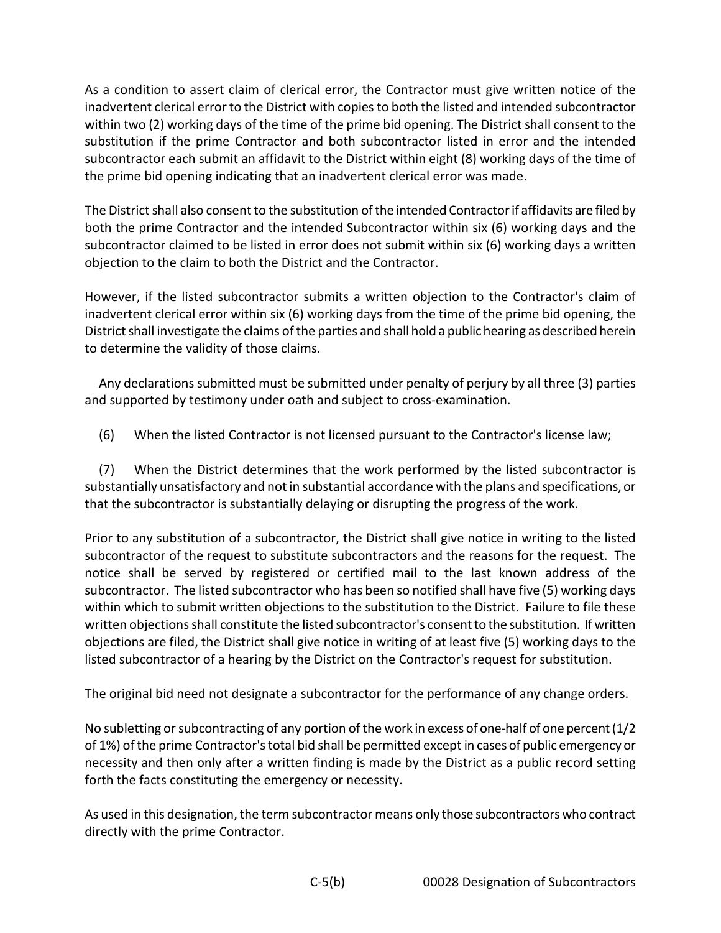As a condition to assert claim of clerical error, the Contractor must give written notice of the inadvertent clerical error to the District with copies to both the listed and intended subcontractor within two (2) working days of the time of the prime bid opening. The District shall consent to the substitution if the prime Contractor and both subcontractor listed in error and the intended subcontractor each submit an affidavit to the District within eight (8) working days of the time of the prime bid opening indicating that an inadvertent clerical error was made.

The District shall also consent to the substitution of the intended Contractor if affidavits are filed by both the prime Contractor and the intended Subcontractor within six (6) working days and the subcontractor claimed to be listed in error does not submit within six (6) working days a written objection to the claim to both the District and the Contractor.

However, if the listed subcontractor submits a written objection to the Contractor's claim of inadvertent clerical error within six (6) working days from the time of the prime bid opening, the District shall investigate the claims of the parties and shall hold a public hearing as described herein to determine the validity of those claims.

Any declarations submitted must be submitted under penalty of perjury by all three (3) parties and supported by testimony under oath and subject to cross-examination.

(6) When the listed Contractor is not licensed pursuant to the Contractor's license law;

(7) When the District determines that the work performed by the listed subcontractor is substantially unsatisfactory and not in substantial accordance with the plans and specifications, or that the subcontractor is substantially delaying or disrupting the progress of the work.

Prior to any substitution of a subcontractor, the District shall give notice in writing to the listed subcontractor of the request to substitute subcontractors and the reasons for the request. The notice shall be served by registered or certified mail to the last known address of the subcontractor. The listed subcontractor who has been so notified shall have five (5) working days within which to submit written objections to the substitution to the District. Failure to file these written objections shall constitute the listed subcontractor's consent to the substitution. If written objections are filed, the District shall give notice in writing of at least five (5) working days to the listed subcontractor of a hearing by the District on the Contractor's request for substitution.

The original bid need not designate a subcontractor for the performance of any change orders.

No subletting or subcontracting of any portion of the work in excess of one-half of one percent (1/2 of 1%) of the prime Contractor's total bid shall be permitted except in cases of public emergency or necessity and then only after a written finding is made by the District as a public record setting forth the facts constituting the emergency or necessity.

As used in this designation, the term subcontractor means only those subcontractors who contract directly with the prime Contractor.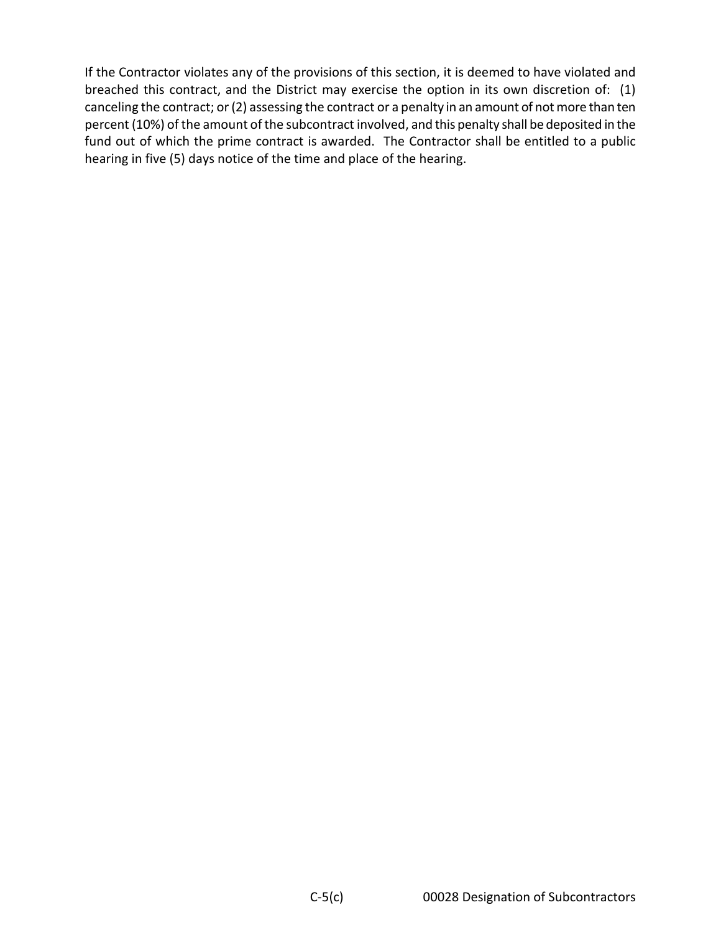If the Contractor violates any of the provisions of this section, it is deemed to have violated and breached this contract, and the District may exercise the option in its own discretion of: (1) canceling the contract; or (2) assessing the contract or a penalty in an amount of not more than ten percent (10%) of the amount of the subcontract involved, and this penalty shall be deposited in the fund out of which the prime contract is awarded. The Contractor shall be entitled to a public hearing in five (5) days notice of the time and place of the hearing.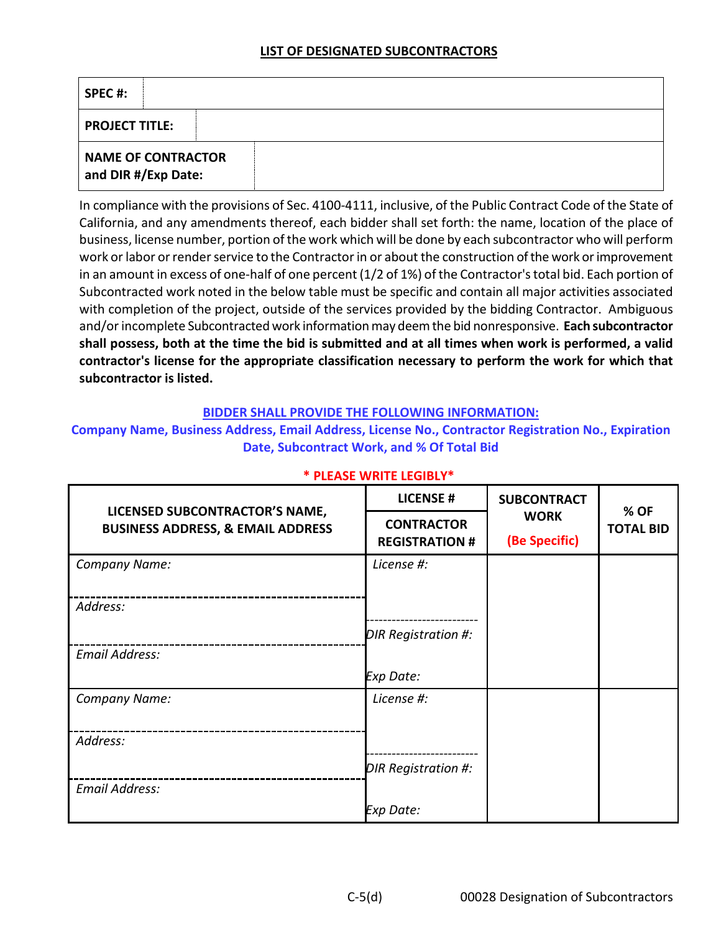## **LIST OF DESIGNATED SUBCONTRACTORS**

| SPEC#:                                           |  |
|--------------------------------------------------|--|
| <b>PROJECT TITLE:</b>                            |  |
| <b>NAME OF CONTRACTOR</b><br>and DIR #/Exp Date: |  |

In compliance with the provisions of Sec. 4100-4111, inclusive, of the Public Contract Code of the State of California, and any amendments thereof, each bidder shall set forth: the name, location of the place of business, license number, portion of the work which will be done by each subcontractor who will perform work or labor or render service to the Contractor in or about the construction of the work or improvement in an amount in excess of one-half of one percent (1/2 of 1%) of the Contractor's total bid. Each portion of Subcontracted work noted in the below table must be specific and contain all major activities associated with completion of the project, outside of the services provided by the bidding Contractor. Ambiguous and/or incomplete Subcontracted work information may deem the bid nonresponsive. **Each subcontractor shall possess, both at the time the bid is submitted and at all times when work is performed, a valid contractor's license for the appropriate classification necessary to perform the work for which that subcontractor is listed.**

#### **BIDDER SHALL PROVIDE THE FOLLOWING INFORMATION:**

## **Company Name, Business Address, Email Address, License No., Contractor Registration No., Expiration Date, Subcontract Work, and % Of Total Bid**

|                                                                                | <b>LICENSE#</b>                            | <b>SUBCONTRACT</b><br><b>WORK</b><br>(Be Specific) | % OF<br><b>TOTAL BID</b> |
|--------------------------------------------------------------------------------|--------------------------------------------|----------------------------------------------------|--------------------------|
| LICENSED SUBCONTRACTOR'S NAME,<br><b>BUSINESS ADDRESS, &amp; EMAIL ADDRESS</b> | <b>CONTRACTOR</b><br><b>REGISTRATION #</b> |                                                    |                          |
| Company Name:                                                                  | License #:                                 |                                                    |                          |
| Address:                                                                       |                                            |                                                    |                          |
| <b>Email Address:</b>                                                          | DIR Registration #:                        |                                                    |                          |
|                                                                                | Exp Date:                                  |                                                    |                          |
| Company Name:                                                                  | License #:                                 |                                                    |                          |
| Address:                                                                       |                                            |                                                    |                          |
|                                                                                | DIR Registration #:                        |                                                    |                          |
| <b>Email Address:</b>                                                          |                                            |                                                    |                          |
|                                                                                | Exp Date:                                  |                                                    |                          |

# **\* PLEASE WRITE LEGIBLY\***